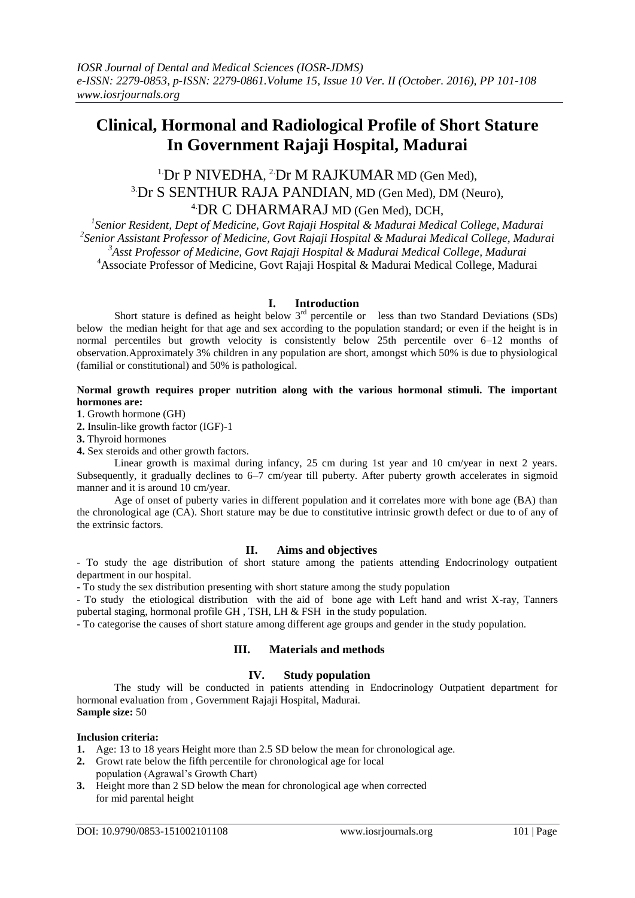# **Clinical, Hormonal and Radiological Profile of Short Stature In Government Rajaji Hospital, Madurai**

## <sup>1</sup>Dr P NIVEDHA, <sup>2</sup>Dr M RAJKUMAR MD (Gen Med), 3.Dr S SENTHUR RAJA PANDIAN, MD (Gen Med), DM (Neuro), 4.DR C DHARMARAJ MD (Gen Med), DCH,

 *Senior Resident, Dept of Medicine, Govt Rajaji Hospital & Madurai Medical College, Madurai Senior Assistant Professor of Medicine, Govt Rajaji Hospital & Madurai Medical College, Madurai Asst Professor of Medicine, Govt Rajaji Hospital & Madurai Medical College, Madurai* <sup>4</sup>Associate Professor of Medicine, Govt Rajaji Hospital & Madurai Medical College, Madurai

## **I. Introduction**

Short stature is defined as height below  $3<sup>rd</sup>$  percentile or less than two Standard Deviations (SDs) below the median height for that age and sex according to the population standard; or even if the height is in normal percentiles but growth velocity is consistently below 25th percentile over 6–12 months of observation.Approximately 3% children in any population are short, amongst which 50% is due to physiological (familial or constitutional) and 50% is pathological.

## **Normal growth requires proper nutrition along with the various hormonal stimuli. The important hormones are:**

**1**. Growth hormone (GH)

**2.** Insulin-like growth factor (IGF)-1

**3.** Thyroid hormones

**4.** Sex steroids and other growth factors.

Linear growth is maximal during infancy, 25 cm during 1st year and 10 cm/year in next 2 years. Subsequently, it gradually declines to 6–7 cm/year till puberty. After puberty growth accelerates in sigmoid manner and it is around 10 cm/year.

Age of onset of puberty varies in different population and it correlates more with bone age (BA) than the chronological age (CA). Short stature may be due to constitutive intrinsic growth defect or due to of any of the extrinsic factors.

## **II. Aims and objectives**

- To study the age distribution of short stature among the patients attending Endocrinology outpatient department in our hospital.

- To study the sex distribution presenting with short stature among the study population

- To study the etiological distribution with the aid of bone age with Left hand and wrist X-ray, Tanners pubertal staging, hormonal profile GH , TSH, LH & FSH in the study population.

- To categorise the causes of short stature among different age groups and gender in the study population.

## **III. Materials and methods**

## **IV. Study population**

The study will be conducted in patients attending in Endocrinology Outpatient department for hormonal evaluation from , Government Rajaji Hospital, Madurai. **Sample size:** 50

## **Inclusion criteria:**

- **1.** Age: 13 to 18 years Height more than 2.5 SD below the mean for chronological age.
- **2.** Growt rate below the fifth percentile for chronological age for local population (Agrawal's Growth Chart)
- **3.** Height more than 2 SD below the mean for chronological age when corrected for mid parental height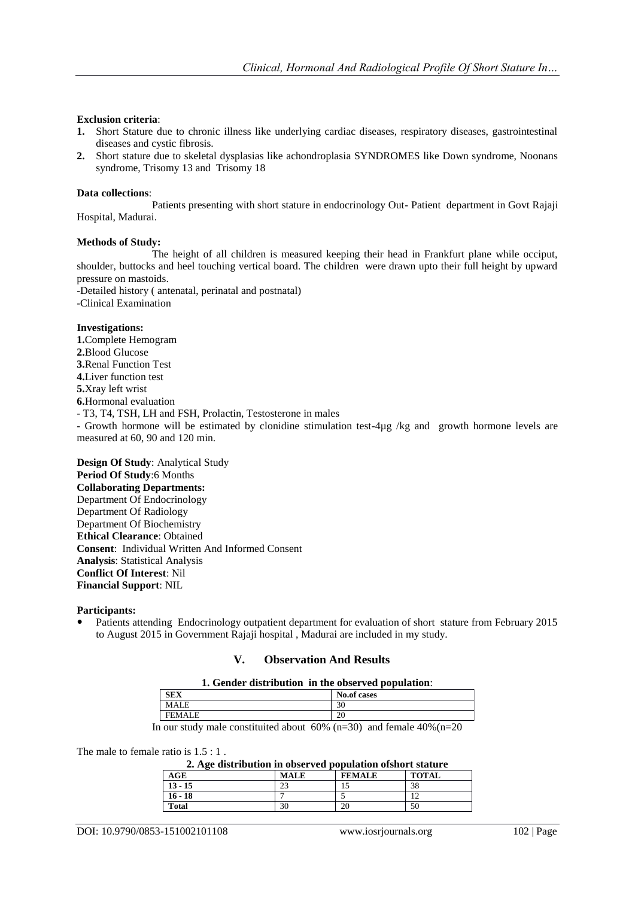## **Exclusion criteria**:

- **1.** Short Stature due to chronic illness like underlying cardiac diseases, respiratory diseases, gastrointestinal diseases and cystic fibrosis.
- **2.** Short stature due to skeletal dysplasias like achondroplasia SYNDROMES like Down syndrome, Noonans syndrome, Trisomy 13 and Trisomy 18

## **Data collections**:

Patients presenting with short stature in endocrinology Out- Patient department in Govt Rajaji Hospital, Madurai.

## **Methods of Study:**

The height of all children is measured keeping their head in Frankfurt plane while occiput, shoulder, buttocks and heel touching vertical board. The children were drawn upto their full height by upward pressure on mastoids.

-Detailed history ( antenatal, perinatal and postnatal) -Clinical Examination

## **Investigations:**

**1.**Complete Hemogram **2.**Blood Glucose **3.**Renal Function Test **4.**Liver function test **5.**Xray left wrist **6.**Hormonal evaluation - T3, T4, TSH, LH and FSH, Prolactin, Testosterone in males - Growth hormone will be estimated by clonidine stimulation test-4µg /kg and growth hormone levels are measured at 60, 90 and 120 min.

**Design Of Study**: Analytical Study **Period Of Study**:6 Months **Collaborating Departments:** Department Of Endocrinology Department Of Radiology Department Of Biochemistry **Ethical Clearance**: Obtained **Consent**: Individual Written And Informed Consent **Analysis**: Statistical Analysis **Conflict Of Interest**: Nil **Financial Support**: NIL

## **Participants:**

 Patients attending Endocrinology outpatient department for evaluation of short stature from February 2015 to August 2015 in Government Rajaji hospital , Madurai are included in my study.

## **V. Observation And Results**

#### **1. Gender distribution in the observed population**:

|   |                                         | -<br>. .                                                                                       |  |  |
|---|-----------------------------------------|------------------------------------------------------------------------------------------------|--|--|
|   | <b>SEX</b>                              | No.of cases                                                                                    |  |  |
|   | MALE                                    | 30                                                                                             |  |  |
|   | <b>FEMA</b>                             | 20                                                                                             |  |  |
| - | $\sim$ $\sim$ $\sim$ $\sim$ $\sim$<br>. | $\sim$ $\sim$ $\sim$<br>$\sim$<br>$\sim$ $\sim$ $\sim$ $\sim$<br>$\sim$ $\sim$<br>$\mathbf{r}$ |  |  |

In our study male constituited about  $60\%$  (n=30) and female  $40\%$  (n=20)

The male to female ratio is  $1.5:1$ .

| 2. Age distribution in observed population of short stature |  |
|-------------------------------------------------------------|--|
|-------------------------------------------------------------|--|

| ຼ<br>AGE     | <b>MALE</b>          | <b>FEMALE</b> | <b>TOTAL</b> |
|--------------|----------------------|---------------|--------------|
| $13 - 15$    | $\mathcal{L}$<br>ر ے | ⊥J            | 38           |
| $16 - 18$    |                      |               |              |
| <b>Total</b> | 30                   | 20            | 50           |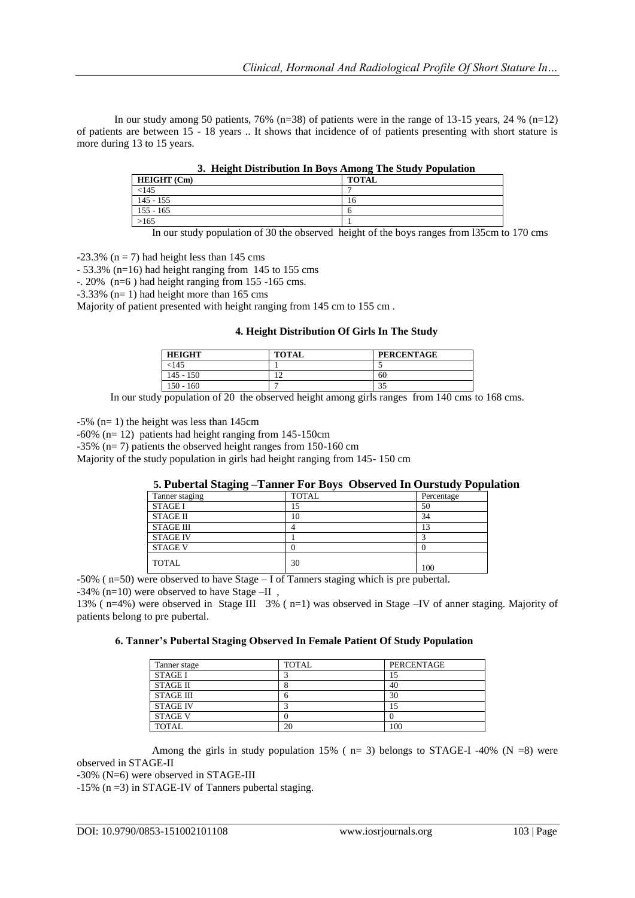In our study among 50 patients, 76% (n=38) of patients were in the range of 13-15 years, 24 % (n=12) of patients are between 15 - 18 years .. It shows that incidence of of patients presenting with short stature is more during 13 to 15 years.

| <b>HEIGHT</b> (Cm) | <b>TOTAL</b> |
|--------------------|--------------|
| <145               |              |
| $145 - 155$        | 16           |
| $155 - 165$        |              |
| >165               |              |

**3. Height Distribution In Boys Among The Study Population**

In our study population of 30 the observed height of the boys ranges from l35cm to 170 cms

 $-23.3\%$  (n = 7) had height less than 145 cms

 $-53.3\%$  (n=16) had height ranging from 145 to 155 cms

 $-$ . 20% (n=6) had height ranging from 155 -165 cms.

 $-3.33\%$  (n= 1) had height more than 165 cms

Majority of patient presented with height ranging from 145 cm to 155 cm .

## **4. Height Distribution Of Girls In The Study**

| <b>HEIGHT</b> | <b>TOTAL</b> | <b>PERCENTAGE</b> |
|---------------|--------------|-------------------|
| <145          |              |                   |
| $145 - 150$   | $\sim$<br>∸  | 60                |
| $150 - 160$   |              | $\Omega$<br>33    |

In our study population of 20 the observed height among girls ranges from 140 cms to 168 cms.

 $-5\%$  (n= 1) the height was less than 145cm

-60% (n= 12) patients had height ranging from 145-150cm

-35% (n= 7) patients the observed height ranges from 150-160 cm

Majority of the study population in girls had height ranging from 145- 150 cm

## **5. Pubertal Staging –Tanner For Boys Observed In Ourstudy Population**

| Tanner staging   | <b>TOTAL</b> | Percentage |
|------------------|--------------|------------|
| <b>STAGE I</b>   | 15           | 50         |
| <b>STAGE II</b>  | 10           | 34         |
| <b>STAGE III</b> |              | 13         |
| <b>STAGE IV</b>  |              |            |
| <b>STAGE V</b>   |              |            |
| <b>TOTAL</b>     | 30           | 100        |

-50% ( n=50) were observed to have Stage – I of Tanners staging which is pre pubertal.

-34% (n=10) were observed to have Stage –II ,

13% ( n=4%) were observed in Stage III 3% ( n=1) was observed in Stage –IV of anner staging. Majority of patients belong to pre pubertal.

## **6. Tanner's Pubertal Staging Observed In Female Patient Of Study Population**

| Tanner stage     | <b>TOTAL</b> | <b>PERCENTAGE</b> |
|------------------|--------------|-------------------|
| <b>STAGE I</b>   |              | 15                |
| <b>STAGE II</b>  | Ω            | 40                |
| <b>STAGE III</b> | n            | 30                |
| <b>STAGE IV</b>  |              | 15                |
| <b>STAGE V</b>   |              |                   |
| <b>TOTAL</b>     | 20           | 100               |

Among the girls in study population 15% ( $n=3$ ) belongs to STAGE-I -40% (N =8) were observed in STAGE-II

-30% (N=6) were observed in STAGE-III

-15% (n =3) in STAGE-IV of Tanners pubertal staging.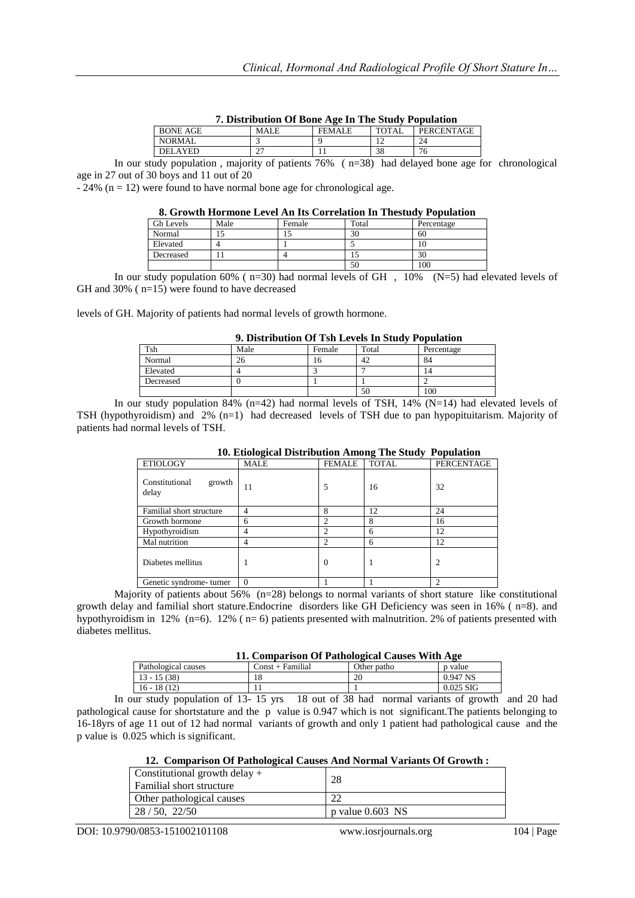| 7. Distribution Of Bone Age In The Study Population |       |               |       |            |  |
|-----------------------------------------------------|-------|---------------|-------|------------|--|
| BONE AGE                                            | MALE. | <b>FEMALE</b> | TOTAL | PERCENTAGE |  |
| NORMAL                                              |       |               |       | 24         |  |

DELAYED 27 11 38 76 In our study population , majority of patients 76% ( n=38) had delayed bone age for chronological age in 27 out of 30 boys and 11 out of 20

 $-24\%$  (n = 12) were found to have normal bone age for chronological age.

#### **8. Growth Hormone Level An Its Correlation In Thestudy Population**

|                  | ----------- |        |       |            |  |
|------------------|-------------|--------|-------|------------|--|
| <b>Gh Levels</b> | Male        | Female | Total | Percentage |  |
| Normal           |             |        | 30    | -60        |  |
| Elevated         |             |        |       |            |  |
| Decreased        |             |        |       | 30         |  |
|                  |             |        | 50    | 100        |  |

In our study population 60% ( $n=30$ ) had normal levels of GH, 10% (N=5) had elevated levels of GH and 30% ( n=15) were found to have decreased

levels of GH. Majority of patients had normal levels of growth hormone.

## **9. Distribution Of Tsh Levels In Study Population**

| Tsh       | Male | Female | Total | Percentage |
|-----------|------|--------|-------|------------|
| Normal    | 26   | 10.    | 42    | 84         |
| Elevated  |      |        |       | 14         |
| Decreased |      |        |       |            |
|           |      |        | 50    | 100        |

In our study population 84% (n=42) had normal levels of TSH, 14% (N=14) had elevated levels of TSH (hypothyroidism) and 2% (n=1) had decreased levels of TSH due to pan hypopituitarism. Majority of patients had normal levels of TSH.

|                                   | $\frac{1}{2}$<br>$-0.00$ where $-0.00$ |                |              |                |  |  |
|-----------------------------------|----------------------------------------|----------------|--------------|----------------|--|--|
| <b>ETIOLOGY</b>                   | <b>MALE</b>                            | <b>FEMALE</b>  | <b>TOTAL</b> | PERCENTAGE     |  |  |
| Constitutional<br>growth<br>delay | 11                                     | 5              | 16           | 32             |  |  |
| Familial short structure          | 4                                      | 8              | 12           | 24             |  |  |
| Growth hormone                    | 6                                      | $\mathcal{L}$  | 8            | 16             |  |  |
| Hypothyroidism                    | 4                                      | 2              | 6            | 12             |  |  |
| Mal nutrition                     | 4                                      | $\mathfrak{D}$ | 6            | 12             |  |  |
| Diabetes mellitus                 |                                        | $\Omega$       |              | $\overline{c}$ |  |  |
| Genetic syndrome-turner           | $\overline{0}$                         |                |              | ∍              |  |  |

**10. Etiological Distribution Among The Study Population**

Majority of patients about 56% (n=28) belongs to normal variants of short stature like constitutional growth delay and familial short stature.Endocrine disorders like GH Deficiency was seen in 16% ( n=8). and hypothyroidism in 12% (n=6). 12% (n=6) patients presented with malnutrition. 2% of patients presented with diabetes mellitus.

|  |  | 11. Comparison Of Pathological Causes With Age |  |  |  |
|--|--|------------------------------------------------|--|--|--|
|--|--|------------------------------------------------|--|--|--|

| Pathological causes | Const + Familial | Other patho | p value     |
|---------------------|------------------|-------------|-------------|
| 13 - 15 (38)        | 18.              | 20          | 0.947 NS    |
| 16 - 18 (12)        |                  |             | $0.025$ SIG |

In our study population of 13- 15 yrs 18 out of 38 had normal variants of growth and 20 had pathological cause for shortstature and the p value is 0.947 which is not significant.The patients belonging to 16-18yrs of age 11 out of 12 had normal variants of growth and only 1 patient had pathological cause and the p value is 0.025 which is significant.

## **12. Comparison Of Pathological Causes And Normal Variants Of Growth :**

| Constitutional growth delay $+$<br>l Familial short structure | 28                 |
|---------------------------------------------------------------|--------------------|
| Other pathological causes                                     | ററ                 |
| $\mid$ 28 / 50, 22/50                                         | p value $0.603$ NS |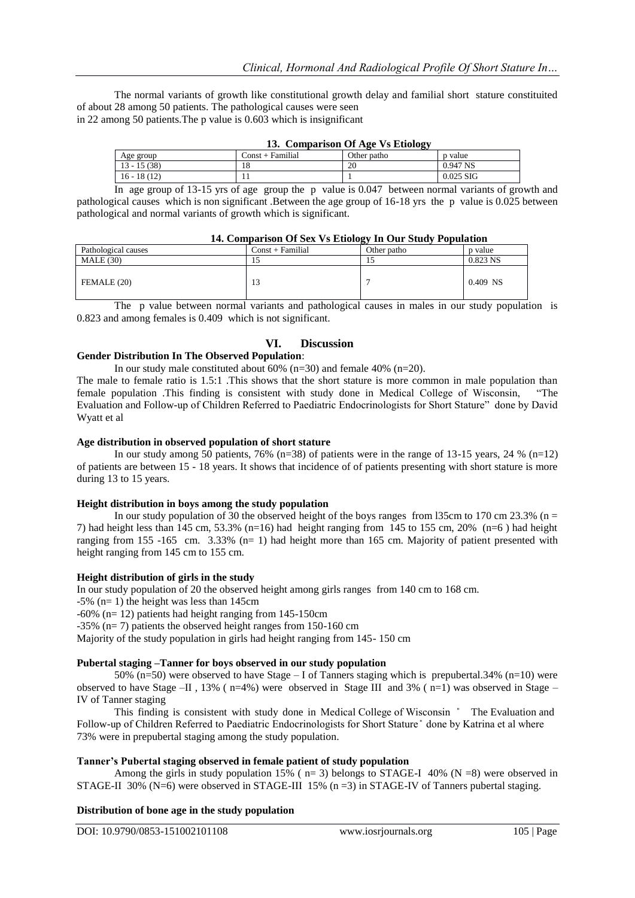The normal variants of growth like constitutional growth delay and familial short stature constituited of about 28 among 50 patients. The pathological causes were seen in 22 among 50 patients.The p value is 0.603 which is insignificant

| 13. Comparison Of Age Vs Etiology |                    |             |             |  |
|-----------------------------------|--------------------|-------------|-------------|--|
| Age group                         | $Const + Familial$ | Other patho | p value     |  |
| $13 - 15(38)$                     | 18                 | 20          | 0.947 NS    |  |
| $16 - 18(12)$                     |                    |             | $0.025$ SIG |  |

In age group of 13-15 yrs of age group the p value is 0.047 between normal variants of growth and pathological causes which is non significant .Between the age group of 16-18 yrs the p value is 0.025 between pathological and normal variants of growth which is significant.

| 14. Comparison Or Sex vs Etiology in Our Study I opulation |                  |             |            |
|------------------------------------------------------------|------------------|-------------|------------|
| Pathological causes                                        | Const + Familial | Other patho | p value    |
| MALE(30)                                                   |                  |             | $0.823$ NS |
| FEMALE (20)                                                | 13               |             | $0.409$ NS |

| 14. Comparison Of Sex Vs Etiology In Our Study Population |  |  |  |
|-----------------------------------------------------------|--|--|--|
|                                                           |  |  |  |

The p value between normal variants and pathological causes in males in our study population is 0.823 and among females is 0.409 which is not significant.

## **VI. Discussion**

## **Gender Distribution In The Observed Population**:

In our study male constituted about  $60\%$  (n=30) and female 40% (n=20).

The male to female ratio is 1.5:1 .This shows that the short stature is more common in male population than female population .This finding is consistent with study done in Medical College of Wisconsin, "The Evaluation and Follow-up of Children Referred to Paediatric Endocrinologists for Short Stature" done by David Wyatt et al

#### **Age distribution in observed population of short stature**

In our study among 50 patients, 76% (n=38) of patients were in the range of 13-15 years, 24 % (n=12) of patients are between 15 - 18 years. It shows that incidence of of patients presenting with short stature is more during 13 to 15 years.

## **Height distribution in boys among the study population**

In our study population of 30 the observed height of the boys ranges from 135cm to 170 cm 23.3% (n = 7) had height less than 145 cm, 53.3% (n=16) had height ranging from 145 to 155 cm, 20% (n=6 ) had height ranging from 155 -165 cm. 3.33% (n= 1) had height more than 165 cm. Majority of patient presented with height ranging from 145 cm to 155 cm.

## **Height distribution of girls in the study**

In our study population of 20 the observed height among girls ranges from 140 cm to 168 cm.

 $-5\%$  (n= 1) the height was less than 145cm

-60% (n= 12) patients had height ranging from 145-150cm

-35% (n= 7) patients the observed height ranges from 150-160 cm

Majority of the study population in girls had height ranging from 145- 150 cm

## **Pubertal staging –Tanner for boys observed in our study population**

50% (n=50) were observed to have Stage – I of Tanners staging which is prepubertal.34% (n=10) were observed to have Stage –II, 13% ( $n=4\%$ ) were observed in Stage III and 3% ( $n=1$ ) was observed in Stage – IV of Tanner staging

This finding is consistent with study done in Medical College of Wisconsin  $\degree$  The Evaluation and Follow-up of Children Referred to Paediatric Endocrinologists for Short Stature" done by Katrina et al where 73% were in prepubertal staging among the study population.

## **Tanner's Pubertal staging observed in female patient of study population**

Among the girls in study population 15% ( $n=3$ ) belongs to STAGE-I 40% (N =8) were observed in STAGE-II 30% (N=6) were observed in STAGE-III 15% (n =3) in STAGE-IV of Tanners pubertal staging.

## **Distribution of bone age in the study population**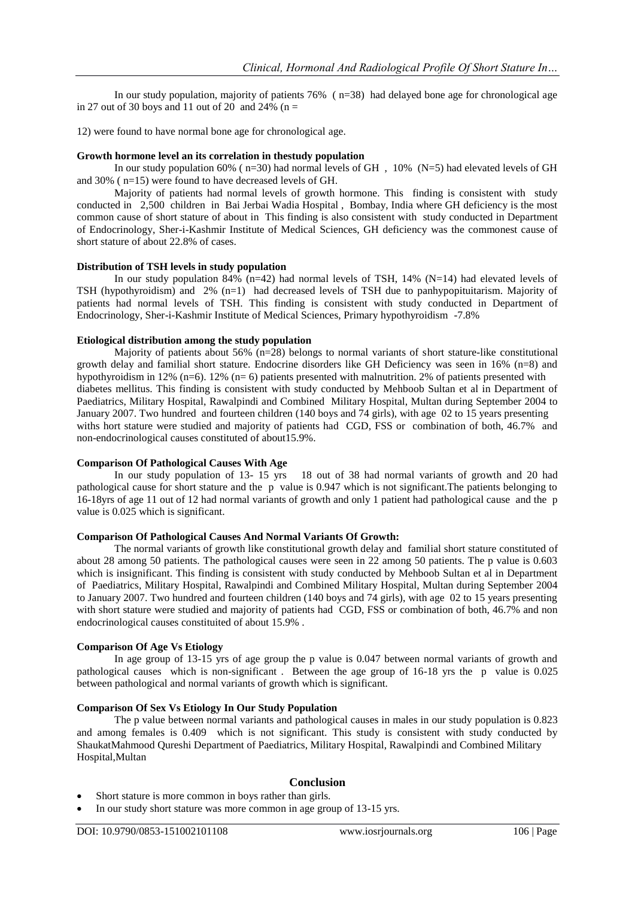In our study population, majority of patients 76% ( n=38) had delayed bone age for chronological age in 27 out of 30 boys and 11 out of 20 and 24% ( $n =$ 

12) were found to have normal bone age for chronological age.

## **Growth hormone level an its correlation in thestudy population**

In our study population 60% ( $n=30$ ) had normal levels of GH, 10% (N=5) had elevated levels of GH and 30% ( n=15) were found to have decreased levels of GH.

Majority of patients had normal levels of growth hormone. This finding is consistent with study conducted in 2,500 children in Bai Jerbai Wadia Hospital , Bombay, India where GH deficiency is the most common cause of short stature of about in This finding is also consistent with study conducted in Department of Endocrinology, Sher-i-Kashmir Institute of Medical Sciences, GH deficiency was the commonest cause of short stature of about 22.8% of cases.

## **Distribution of TSH levels in study population**

In our study population  $84\%$  (n=42) had normal levels of TSH, 14% (N=14) had elevated levels of TSH (hypothyroidism) and 2% (n=1) had decreased levels of TSH due to panhypopituitarism. Majority of patients had normal levels of TSH. This finding is consistent with study conducted in Department of Endocrinology, Sher-i-Kashmir Institute of Medical Sciences, Primary hypothyroidism -7.8%

#### **Etiological distribution among the study population**

Majority of patients about  $56\%$  (n=28) belongs to normal variants of short stature-like constitutional growth delay and familial short stature. Endocrine disorders like GH Deficiency was seen in 16% (n=8) and hypothyroidism in 12% (n=6). 12% (n= 6) patients presented with malnutrition. 2% of patients presented with diabetes mellitus. This finding is consistent with study conducted by Mehboob Sultan et al in Department of Paediatrics, Military Hospital, Rawalpindi and Combined Military Hospital, Multan during September 2004 to January 2007. Two hundred and fourteen children (140 boys and 74 girls), with age 02 to 15 years presenting withs hort stature were studied and majority of patients had CGD, FSS or combination of both, 46.7% and non-endocrinological causes constituted of about15.9%.

## **Comparison Of Pathological Causes With Age**

In our study population of 13- 15 yrs 18 out of 38 had normal variants of growth and 20 had pathological cause for short stature and the p value is 0.947 which is not significant.The patients belonging to 16-18yrs of age 11 out of 12 had normal variants of growth and only 1 patient had pathological cause and the p value is 0.025 which is significant.

## **Comparison Of Pathological Causes And Normal Variants Of Growth:**

The normal variants of growth like constitutional growth delay and familial short stature constituted of about 28 among 50 patients. The pathological causes were seen in 22 among 50 patients. The p value is 0.603 which is insignificant. This finding is consistent with study conducted by Mehboob Sultan et al in Department of Paediatrics, Military Hospital, Rawalpindi and Combined Military Hospital, Multan during September 2004 to January 2007. Two hundred and fourteen children (140 boys and 74 girls), with age 02 to 15 years presenting with short stature were studied and majority of patients had CGD, FSS or combination of both, 46.7% and non endocrinological causes constituited of about 15.9% .

## **Comparison Of Age Vs Etiology**

In age group of 13-15 yrs of age group the p value is 0.047 between normal variants of growth and pathological causes which is non-significant . Between the age group of 16-18 yrs the p value is 0.025 between pathological and normal variants of growth which is significant.

## **Comparison Of Sex Vs Etiology In Our Study Population**

The p value between normal variants and pathological causes in males in our study population is 0.823 and among females is 0.409 which is not significant. This study is consistent with study conducted by ShaukatMahmood Qureshi Department of Paediatrics, Military Hospital, Rawalpindi and Combined Military Hospital,Multan

## **Conclusion**

- Short stature is more common in boys rather than girls.
- In our study short stature was more common in age group of 13-15 yrs.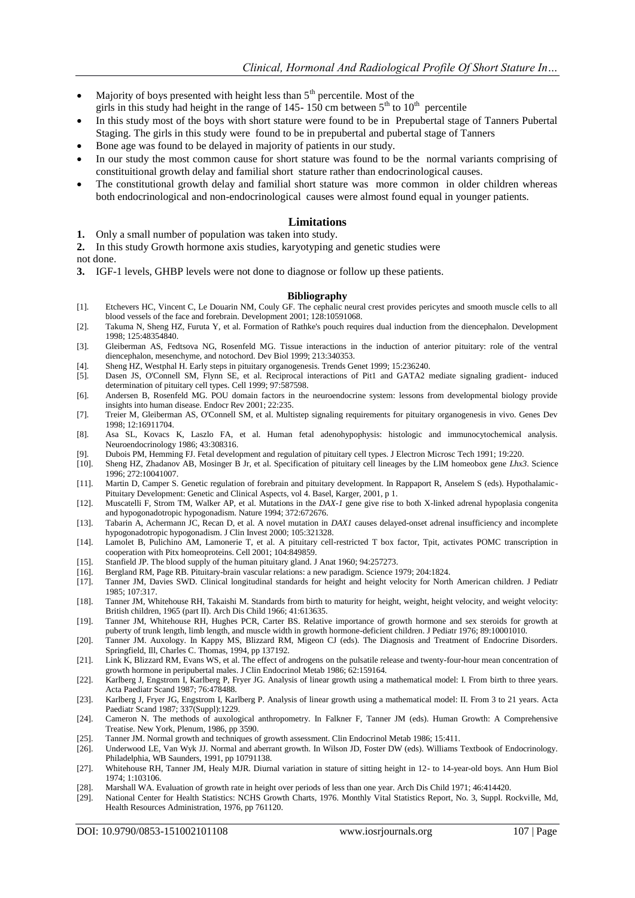- Majority of boys presented with height less than  $5<sup>th</sup>$  percentile. Most of the girls in this study had height in the range of 145-150 cm between  $5<sup>th</sup>$  to  $10<sup>th</sup>$  percentile
- In this study most of the boys with short stature were found to be in Prepubertal stage of Tanners Pubertal Staging. The girls in this study were found to be in prepubertal and pubertal stage of Tanners
- Bone age was found to be delayed in majority of patients in our study.
- In our study the most common cause for short stature was found to be the normal variants comprising of constituitional growth delay and familial short stature rather than endocrinological causes.
- The constitutional growth delay and familial short stature was more common in older children whereas both endocrinological and non-endocrinological causes were almost found equal in younger patients.

#### **Limitations**

**1.** Only a small number of population was taken into study.

**2.** In this study Growth hormone axis studies, karyotyping and genetic studies were

- not done.
- **3.** IGF-1 levels, GHBP levels were not done to diagnose or follow up these patients.

#### **Bibliography**

- [1]. Etchevers HC, Vincent C, Le Douarin NM, Couly GF. The cephalic neural crest provides pericytes and smooth muscle cells to all blood vessels of the face and forebrain. Development 2001; 128:10591068.
- [2]. Takuma N, Sheng HZ, Furuta Y, et al. Formation of Rathke's pouch requires dual induction from the diencephalon. Development 1998; 125:48354840.
- [3]. Gleiberman AS, Fedtsova NG, Rosenfeld MG. Tissue interactions in the induction of anterior pituitary: role of the ventral diencephalon, mesenchyme, and notochord. Dev Biol 1999; 213:340353.
- [4]. Sheng HZ, Westphal H. Early steps in pituitary organogenesis. Trends Genet 1999; 15:236240.
- [5]. Dasen JS, O'Connell SM, Flynn SE, et al. Reciprocal interactions of Pit1 and GATA2 mediate signaling gradient- induced determination of pituitary cell types. Cell 1999; 97:587598.
- [6]. Andersen B, Rosenfeld MG. POU domain factors in the neuroendocrine system: lessons from developmental biology provide insights into human disease. Endocr Rev 2001; 22:235.
- [7]. Treier M, Gleiberman AS, O'Connell SM, et al. Multistep signaling requirements for pituitary organogenesis in vivo. Genes Dev 1998; 12:16911704.
- [8]. Asa SL, Kovacs K, Laszlo FA, et al. Human fetal adenohypophysis: histologic and immunocytochemical analysis. Neuroendocrinology 1986; 43:308316.
- [9]. Dubois PM, Hemming FJ. Fetal development and regulation of pituitary cell types. J Electron Microsc Tech 1991; 19:220.
- [10]. Sheng HZ, Zhadanov AB, Mosinger B Jr, et al. Specification of pituitary cell lineages by the LIM homeobox gene *Lhx3*. Science 1996; 272:10041007.
- [11]. Martin D, Camper S. Genetic regulation of forebrain and pituitary development. In Rappaport R, Anselem S (eds). Hypothalamic-Pituitary Development: Genetic and Clinical Aspects, vol 4. Basel, Karger, 2001, p 1.
- [12]. Muscatelli F, Strom TM, Walker AP, et al. Mutations in the *DAX-1* gene give rise to both X-linked adrenal hypoplasia congenita and hypogonadotropic hypogonadism. Nature 1994; 372:672676.
- [13]. Tabarin A, Achermann JC, Recan D, et al. A novel mutation in *DAX1* causes delayed-onset adrenal insufficiency and incomplete hypogonadotropic hypogonadism. J Clin Invest 2000; 105:321328.
- [14]. Lamolet B, Pulichino AM, Lamonerie T, et al. A pituitary cell-restricted T box factor, Tpit, activates POMC transcription in cooperation with Pitx homeoproteins. Cell 2001; 104:849859.
- [15]. Stanfield JP. The blood supply of the human pituitary gland. J Anat 1960; 94:257273.
- [16]. Bergland RM, Page RB. Pituitary-brain vascular relations: a new paradigm. Science 1979; 204:1824.
- [17]. Tanner JM, Davies SWD. Clinical longitudinal standards for height and height velocity for North American children. J Pediatr 1985; 107:317.
- [18]. Tanner JM, Whitehouse RH, Takaishi M. Standards from birth to maturity for height, weight, height velocity, and weight velocity: British children, 1965 (part II). Arch Dis Child 1966; 41:613635.
- [19]. Tanner JM, Whitehouse RH, Hughes PCR, Carter BS. Relative importance of growth hormone and sex steroids for growth at puberty of trunk length, limb length, and muscle width in growth hormone-deficient children. J Pediatr 1976; 89:10001010.
- [20]. Tanner JM. Auxology. In Kappy MS, Blizzard RM, Migeon CJ (eds). The Diagnosis and Treatment of Endocrine Disorders. Springfield, Ill, Charles C. Thomas, 1994, pp 137192.
- [21]. Link K, Blizzard RM, Evans WS, et al. The effect of androgens on the pulsatile release and twenty-four-hour mean concentration of growth hormone in peripubertal males. J Clin Endocrinol Metab 1986; 62:159164.
- [22]. Karlberg J, Engstrom I, Karlberg P, Fryer JG. Analysis of linear growth using a mathematical model: I. From birth to three years. Acta Paediatr Scand 1987; 76:478488.
- [23]. Karlberg J, Fryer JG, Engstrom I, Karlberg P. Analysis of linear growth using a mathematical model: II. From 3 to 21 years. Acta Paediatr Scand 1987; 337(Suppl):1229.
- [24]. Cameron N. The methods of auxological anthropometry. In Falkner F, Tanner JM (eds). Human Growth: A Comprehensive Treatise. New York, Plenum, 1986, pp 3590.
- [25]. Tanner JM. Normal growth and techniques of growth assessment. Clin Endocrinol Metab 1986; 15:411.
- [26]. Underwood LE, Van Wyk JJ. Normal and aberrant growth. In Wilson JD, Foster DW (eds). Williams Textbook of Endocrinology. Philadelphia, WB Saunders, 1991, pp 10791138.
- [27]. Whitehouse RH, Tanner JM, Healy MJR. Diurnal variation in stature of sitting height in 12- to 14-year-old boys. Ann Hum Biol 1974; 1:103106.
- [28]. Marshall WA. Evaluation of growth rate in height over periods of less than one year. Arch Dis Child 1971; 46:414420.
- [29]. National Center for Health Statistics: NCHS Growth Charts, 1976. Monthly Vital Statistics Report, No. 3, Suppl. Rockville, Md, Health Resources Administration, 1976, pp 761120.